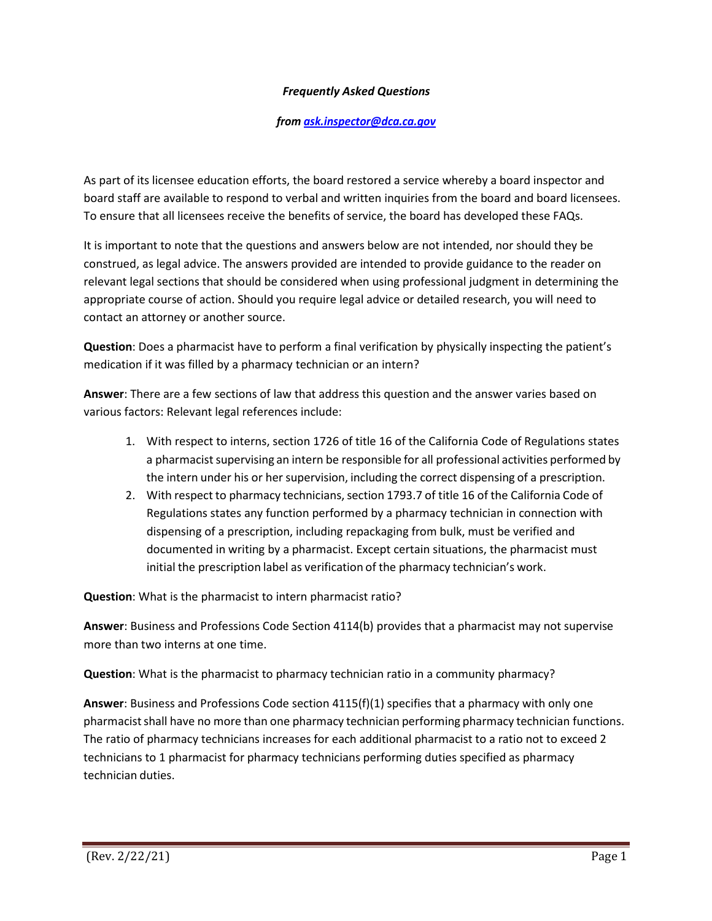## *Frequently Asked Questions*

## *from [ask.inspector@dca.ca.gov](mailto:ask.inspector@dca.ca.gov)*

 board staff are available to respond to verbal and written inquiries from the board and board licensees. To ensure that all licensees receive the benefits of service, the board has developed these FAQs. As part of its licensee education efforts, the board restored a service whereby a board inspector and

 relevant legal sections that should be considered when using professional judgment in determining the It is important to note that the questions and answers below are not intended, nor should they be construed, as legal advice. The answers provided are intended to provide guidance to the reader on appropriate course of action. Should you require legal advice or detailed research, you will need to contact an attorney or another source.

**Question**: Does a pharmacist have to perform a final verification by physically inspecting the patient's medication if it was filled by a pharmacy technician or an intern?

 **Answer**: There are a few sections of law that address this question and the answer varies based on various factors: Relevant legal references include:

- 1. With respect to interns, section 1726 of title 16 of the California Code of Regulations states a pharmacist supervising an intern be responsible for all professional activities performed by the intern under his or her supervision, including the correct dispensing of a prescription.
- 2. With respect to pharmacy technicians, section 1793.7 of title 16 of the California Code of documented in writing by a pharmacist. Except certain situations, the pharmacist must initial the prescription label as verification of the pharmacy technician's work. Regulations states any function performed by a pharmacy technician in connection with dispensing of a prescription, including repackaging from bulk, must be verified and

**Question**: What is the pharmacist to intern pharmacist ratio?

 **Answer**: Business and Professions Code Section 4114(b) provides that a pharmacist may not supervise more than two interns at one time.

**Question**: What is the pharmacist to pharmacy technician ratio in a community pharmacy?

 **Answer**: Business and Professions Code section 4115(f)(1) specifies that a pharmacy with only one pharmacist shall have no more than one pharmacy technician performing pharmacy technician functions. The ratio of pharmacy technicians increases for each additional pharmacist to a ratio not to exceed 2 technicians to 1 pharmacist for pharmacy technicians performing duties specified as pharmacy technician duties.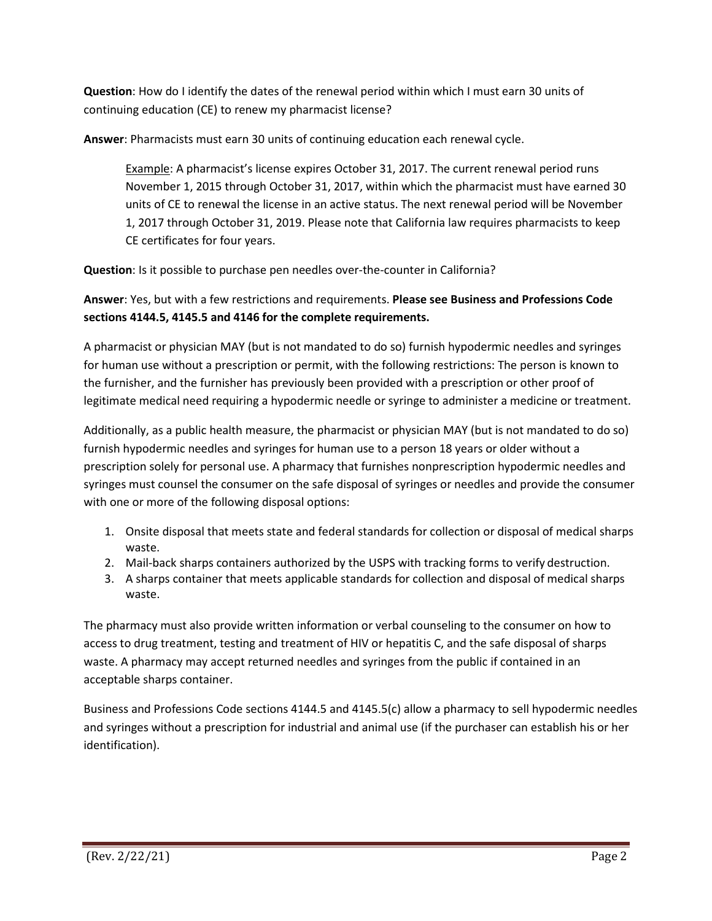**Question**: How do I identify the dates of the renewal period within which I must earn 30 units of continuing education (CE) to renew my pharmacist license?

**Answer**: Pharmacists must earn 30 units of continuing education each renewal cycle.

 November 1, 2015 through October 31, 2017, within which the pharmacist must have earned 30 Example: A pharmacist's license expires October 31, 2017. The current renewal period runs units of CE to renewal the license in an active status. The next renewal period will be November 1, 2017 through October 31, 2019. Please note that California law requires pharmacists to keep CE certificates for four years.

**Question**: Is it possible to purchase pen needles over-the-counter in California?

**Answer**: Yes, but with a few restrictions and requirements. **Please see Business and Professions Code sections 4144.5, 4145.5 and 4146 for the complete requirements.** 

 A pharmacist or physician MAY (but is not mandated to do so) furnish hypodermic needles and syringes for human use without a prescription or permit, with the following restrictions: The person is known to the furnisher, and the furnisher has previously been provided with a prescription or other proof of legitimate medical need requiring a hypodermic needle or syringe to administer a medicine or treatment.

 syringes must counsel the consumer on the safe disposal of syringes or needles and provide the consumer with one or more of the following disposal options: Additionally, as a public health measure, the pharmacist or physician MAY (but is not mandated to do so) furnish hypodermic needles and syringes for human use to a person 18 years or older without a prescription solely for personal use. A pharmacy that furnishes nonprescription hypodermic needles and

- 1. Onsite disposal that meets state and federal standards for collection or disposal of medical sharps waste.
- 2. Mail-back sharps containers authorized by the USPS with tracking forms to verify destruction.
- 3. A sharps container that meets applicable standards for collection and disposal of medical sharps waste.

 The pharmacy must also provide written information or verbal counseling to the consumer on how to waste. A pharmacy may accept returned needles and syringes from the public if contained in an access to drug treatment, testing and treatment of HIV or hepatitis C, and the safe disposal of sharps acceptable sharps container.

Business and Professions Code sections 4144.5 and 4145.5(c) allow a pharmacy to sell hypodermic needles and syringes without a prescription for industrial and animal use (if the purchaser can establish his or her identification).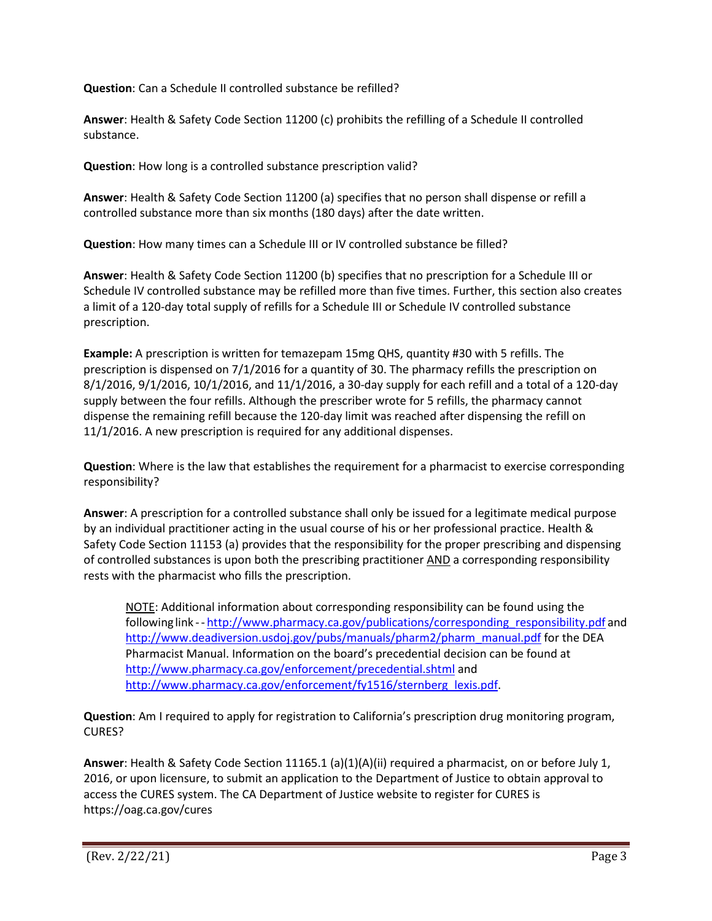**Question**: Can a Schedule II controlled substance be refilled?

**Answer**: Health & Safety Code Section 11200 (c) prohibits the refilling of a Schedule II controlled substance.

**Question**: How long is a controlled substance prescription valid?

**Answer**: Health & Safety Code Section 11200 (a) specifies that no person shall dispense or refill a controlled substance more than six months (180 days) after the date written.

**Question**: How many times can a Schedule III or IV controlled substance be filled?

**Answer**: Health & Safety Code Section 11200 (b) specifies that no prescription for a Schedule III or Schedule IV controlled substance may be refilled more than five times. Further, this section also creates a limit of a 120-day total supply of refills for a Schedule III or Schedule IV controlled substance prescription.

 **Example:** A prescription is written for temazepam 15mg QHS, quantity #30 with 5 refills. The prescription is dispensed on 7/1/2016 for a quantity of 30. The pharmacy refills the prescription on 8/1/2016, 9/1/2016, 10/1/2016, and 11/1/2016, a 30-day supply for each refill and a total of a 120-day dispense the remaining refill because the 120-day limit was reached after dispensing the refill on supply between the four refills. Although the prescriber wrote for 5 refills, the pharmacy cannot 11/1/2016. A new prescription is required for any additional dispenses.

**Question**: Where is the law that establishes the requirement for a pharmacist to exercise corresponding responsibility?

 by an individual practitioner acting in the usual course of his or her professional practice. Health & of controlled substances is upon both the prescribing practitioner AND a corresponding responsibility **Answer**: A prescription for a controlled substance shall only be issued for a legitimate medical purpose Safety Code Section 11153 (a) provides that the responsibility for the proper prescribing and dispensing rests with the pharmacist who fills the prescription.

following link -- [http://www.pharmacy.ca.gov/publications/corresponding\\_responsibility.pdf a](http://www.pharmacy.ca.gov/publications/corresponding_responsibility.pdf)nd NOTE: Additional information about corresponding responsibility can be found using the [http://www.deadiversion.usdoj.gov/pubs/manuals/pharm2/pharm\\_manual.pdf f](http://www.deadiversion.usdoj.gov/pubs/manuals/pharm2/pharm_manual.pdf)or the DEA Pharmacist Manual. Information on the board's precedential decision can be found at [http://www.pharmacy.ca.gov/enforcement/precedential.shtml a](http://www.pharmacy.ca.gov/enforcement/precedential.shtml)nd [http://www.pharmacy.ca.gov/enforcement/fy1516/sternberg\\_lexis.pdf.](http://www.pharmacy.ca.gov/enforcement/fy1516/sternberg_lexis.pdf)

**Question**: Am I required to apply for registration to California's prescription drug monitoring program, CURES?

 **Answer**: Health & Safety Code Section 11165.1 (a)(1)(A)(ii) required a pharmacist, on or before July 1, 2016, or upon licensure, to submit an application to the Department of Justice to obtain approval to access the CURES system. The CA Department of Justice website to register for CURES is <https://oag.ca.gov/cures>